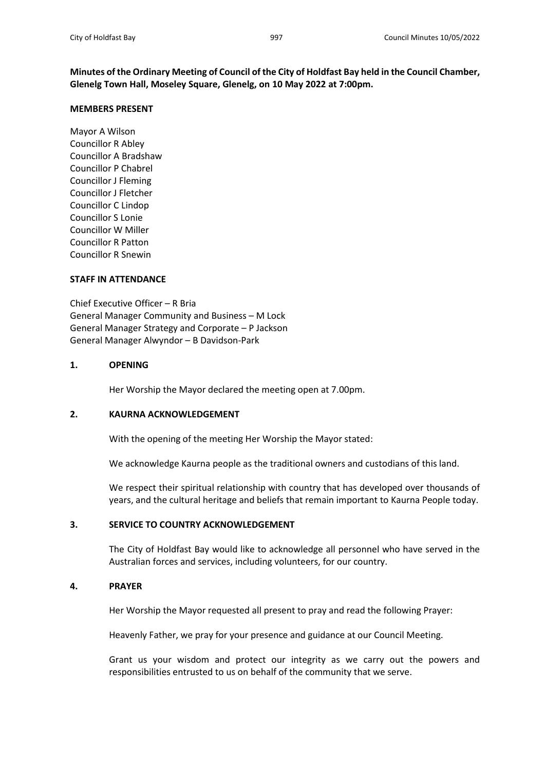**Minutes of the Ordinary Meeting of Council of the City of Holdfast Bay held in the Council Chamber, Glenelg Town Hall, Moseley Square, Glenelg, on 10 May 2022 at 7:00pm.**

#### **MEMBERS PRESENT**

Mayor A Wilson Councillor R Abley Councillor A Bradshaw Councillor P Chabrel Councillor J Fleming Councillor J Fletcher Councillor C Lindop Councillor S Lonie Councillor W Miller Councillor R Patton Councillor R Snewin

#### **STAFF IN ATTENDANCE**

Chief Executive Officer – R Bria General Manager Community and Business – M Lock General Manager Strategy and Corporate – P Jackson General Manager Alwyndor – B Davidson-Park

## **1. OPENING**

Her Worship the Mayor declared the meeting open at 7.00pm.

## **2. KAURNA ACKNOWLEDGEMENT**

With the opening of the meeting Her Worship the Mayor stated:

We acknowledge Kaurna people as the traditional owners and custodians of this land.

We respect their spiritual relationship with country that has developed over thousands of years, and the cultural heritage and beliefs that remain important to Kaurna People today.

# **3. SERVICE TO COUNTRY ACKNOWLEDGEMENT**

The City of Holdfast Bay would like to acknowledge all personnel who have served in the Australian forces and services, including volunteers, for our country.

# **4. PRAYER**

Her Worship the Mayor requested all present to pray and read the following Prayer:

Heavenly Father, we pray for your presence and guidance at our Council Meeting.

Grant us your wisdom and protect our integrity as we carry out the powers and responsibilities entrusted to us on behalf of the community that we serve.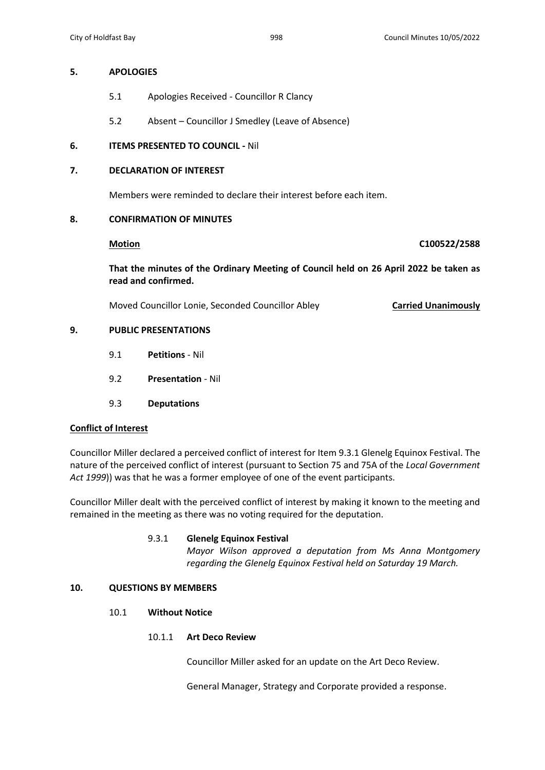## **5. APOLOGIES**

- 5.1 Apologies Received Councillor R Clancy
- 5.2 Absent Councillor J Smedley (Leave of Absence)

# **6. ITEMS PRESENTED TO COUNCIL -** Nil

# **7. DECLARATION OF INTEREST**

Members were reminded to declare their interest before each item.

## **8. CONFIRMATION OF MINUTES**

**Motion C100522/2588**

**That the minutes of the Ordinary Meeting of Council held on 26 April 2022 be taken as read and confirmed.**

Moved Councillor Lonie, Seconded Councillor Abley **Carried Unanimously**

# **9. PUBLIC PRESENTATIONS**

- 9.1 **Petitions** Nil
- 9.2 **Presentation** Nil
- 9.3 **Deputations**

## **Conflict of Interest**

Councillor Miller declared a perceived conflict of interest for Item 9.3.1 Glenelg Equinox Festival. The nature of the perceived conflict of interest (pursuant to Section 75 and 75A of the *Local Government Act 1999*)) was that he was a former employee of one of the event participants.

Councillor Miller dealt with the perceived conflict of interest by making it known to the meeting and remained in the meeting as there was no voting required for the deputation.

## 9.3.1 **Glenelg Equinox Festival**

*Mayor Wilson approved a deputation from Ms Anna Montgomery regarding the Glenelg Equinox Festival held on Saturday 19 March.*

# **10. QUESTIONS BY MEMBERS**

## 10.1 **Without Notice**

# 10.1.1 **Art Deco Review**

Councillor Miller asked for an update on the Art Deco Review.

General Manager, Strategy and Corporate provided a response.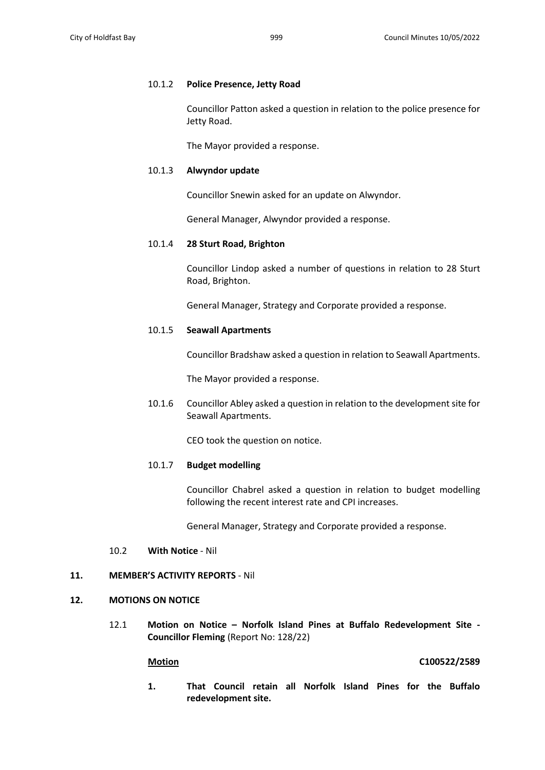### 10.1.2 **Police Presence, Jetty Road**

Councillor Patton asked a question in relation to the police presence for Jetty Road.

The Mayor provided a response.

#### 10.1.3 **Alwyndor update**

Councillor Snewin asked for an update on Alwyndor.

General Manager, Alwyndor provided a response.

## 10.1.4 **28 Sturt Road, Brighton**

Councillor Lindop asked a number of questions in relation to 28 Sturt Road, Brighton.

General Manager, Strategy and Corporate provided a response.

#### 10.1.5 **Seawall Apartments**

Councillor Bradshaw asked a question in relation to Seawall Apartments.

The Mayor provided a response.

10.1.6 Councillor Abley asked a question in relation to the development site for Seawall Apartments.

CEO took the question on notice.

## 10.1.7 **Budget modelling**

Councillor Chabrel asked a question in relation to budget modelling following the recent interest rate and CPI increases.

General Manager, Strategy and Corporate provided a response.

#### 10.2 **With Notice** - Nil

## **11. MEMBER'S ACTIVITY REPORTS** - Nil

#### **12. MOTIONS ON NOTICE**

12.1 **Motion on Notice – Norfolk Island Pines at Buffalo Redevelopment Site - Councillor Fleming** (Report No: 128/22)

#### **Motion C100522/2589**

**1. That Council retain all Norfolk Island Pines for the Buffalo redevelopment site.**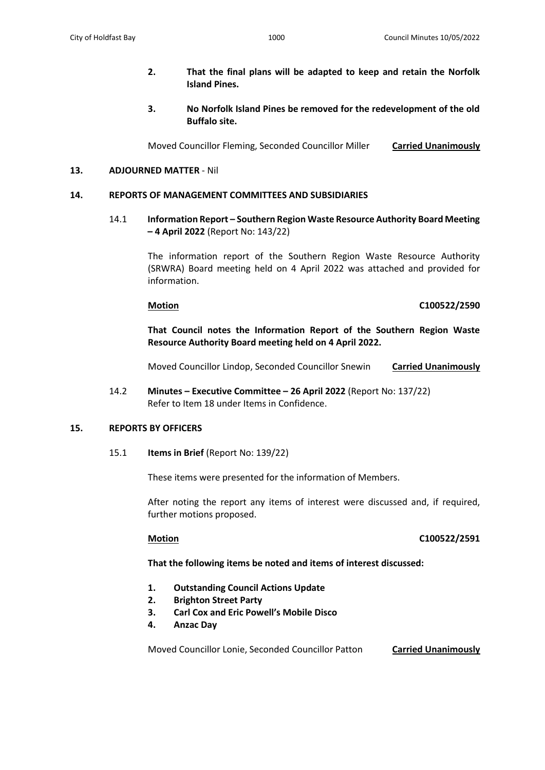- **2. That the final plans will be adapted to keep and retain the Norfolk Island Pines.**
- **3. No Norfolk Island Pines be removed for the redevelopment of the old Buffalo site.**

Moved Councillor Fleming, Seconded Councillor Miller **Carried Unanimously**

## **13. ADJOURNED MATTER** - Nil

## **14. REPORTS OF MANAGEMENT COMMITTEES AND SUBSIDIARIES**

14.1 **Information Report – Southern Region Waste Resource Authority Board Meeting – 4 April 2022** (Report No: 143/22)

> The information report of the Southern Region Waste Resource Authority (SRWRA) Board meeting held on 4 April 2022 was attached and provided for information.

## **Motion C100522/2590**

**That Council notes the Information Report of the Southern Region Waste Resource Authority Board meeting held on 4 April 2022.**

Moved Councillor Lindop, Seconded Councillor Snewin **Carried Unanimously**

14.2 **Minutes – Executive Committee – 26 April 2022** (Report No: 137/22) Refer to Item 18 under Items in Confidence.

## **15. REPORTS BY OFFICERS**

15.1 **Items in Brief** (Report No: 139/22)

These items were presented for the information of Members.

After noting the report any items of interest were discussed and, if required, further motions proposed.

# **Motion C100522/2591**

## **That the following items be noted and items of interest discussed:**

- **1. Outstanding Council Actions Update**
- **2. Brighton Street Party**
- **3. Carl Cox and Eric Powell's Mobile Disco**
- **4. Anzac Day**

Moved Councillor Lonie, Seconded Councillor Patton **Carried Unanimously**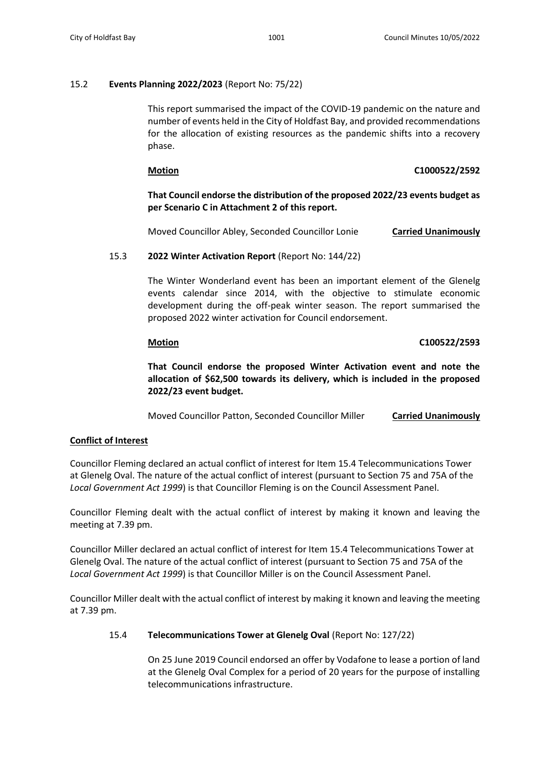# 15.2 **Events Planning 2022/2023** (Report No: 75/22)

This report summarised the impact of the COVID-19 pandemic on the nature and number of events held in the City of Holdfast Bay, and provided recommendations for the allocation of existing resources as the pandemic shifts into a recovery phase.

## **Motion C1000522/2592**

# **That Council endorse the distribution of the proposed 2022/23 events budget as per Scenario C in Attachment 2 of this report.**

Moved Councillor Abley, Seconded Councillor Lonie **Carried Unanimously**

# 15.3 **2022 Winter Activation Report** (Report No: 144/22)

The Winter Wonderland event has been an important element of the Glenelg events calendar since 2014, with the objective to stimulate economic development during the off-peak winter season. The report summarised the proposed 2022 winter activation for Council endorsement.

# **Motion C100522/2593**

**That Council endorse the proposed Winter Activation event and note the allocation of \$62,500 towards its delivery, which is included in the proposed 2022/23 event budget.**

Moved Councillor Patton, Seconded Councillor Miller **Carried Unanimously**

# **Conflict of Interest**

Councillor Fleming declared an actual conflict of interest for Item 15.4 Telecommunications Tower at Glenelg Oval. The nature of the actual conflict of interest (pursuant to Section 75 and 75A of the *Local Government Act 1999*) is that Councillor Fleming is on the Council Assessment Panel.

Councillor Fleming dealt with the actual conflict of interest by making it known and leaving the meeting at 7.39 pm.

Councillor Miller declared an actual conflict of interest for Item 15.4 Telecommunications Tower at Glenelg Oval. The nature of the actual conflict of interest (pursuant to Section 75 and 75A of the *Local Government Act 1999*) is that Councillor Miller is on the Council Assessment Panel.

Councillor Miller dealt with the actual conflict of interest by making it known and leaving the meeting at 7.39 pm.

# 15.4 **Telecommunications Tower at Glenelg Oval** (Report No: 127/22)

On 25 June 2019 Council endorsed an offer by Vodafone to lease a portion of land at the Glenelg Oval Complex for a period of 20 years for the purpose of installing telecommunications infrastructure.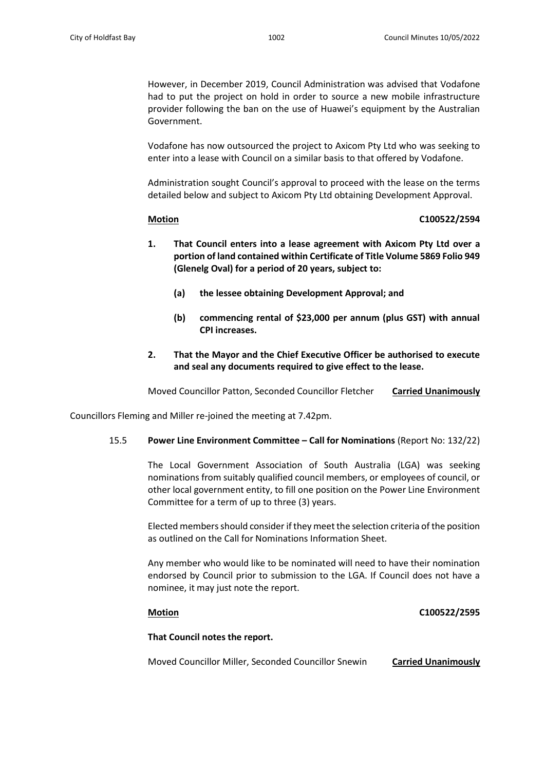However, in December 2019, Council Administration was advised that Vodafone had to put the project on hold in order to source a new mobile infrastructure provider following the ban on the use of Huawei's equipment by the Australian Government.

Vodafone has now outsourced the project to Axicom Pty Ltd who was seeking to enter into a lease with Council on a similar basis to that offered by Vodafone.

Administration sought Council's approval to proceed with the lease on the terms detailed below and subject to Axicom Pty Ltd obtaining Development Approval.

## **Motion C100522/2594**

- **1. That Council enters into a lease agreement with Axicom Pty Ltd over a portion of land contained within Certificate of Title Volume 5869 Folio 949 (Glenelg Oval) for a period of 20 years, subject to:**
	- **(a) the lessee obtaining Development Approval; and**
	- **(b) commencing rental of \$23,000 per annum (plus GST) with annual CPI increases.**
- **2. That the Mayor and the Chief Executive Officer be authorised to execute and seal any documents required to give effect to the lease.**

Moved Councillor Patton, Seconded Councillor Fletcher **Carried Unanimously**

Councillors Fleming and Miller re-joined the meeting at 7.42pm.

# 15.5 **Power Line Environment Committee – Call for Nominations** (Report No: 132/22)

The Local Government Association of South Australia (LGA) was seeking nominations from suitably qualified council members, or employees of council, or other local government entity, to fill one position on the Power Line Environment Committee for a term of up to three (3) years.

Elected members should consider if they meet the selection criteria of the position as outlined on the Call for Nominations Information Sheet.

Any member who would like to be nominated will need to have their nomination endorsed by Council prior to submission to the LGA. If Council does not have a nominee, it may just note the report.

# **Motion C100522/2595**

## **That Council notes the report.**

Moved Councillor Miller, Seconded Councillor Snewin **Carried Unanimously**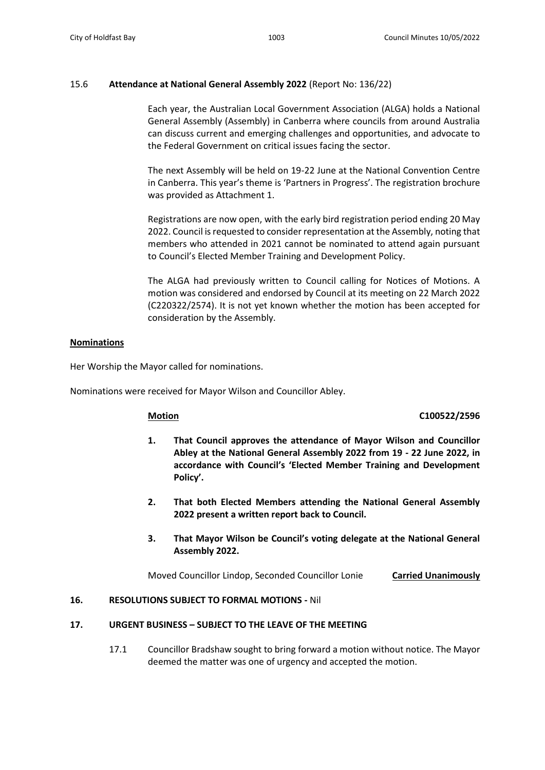# 15.6 **Attendance at National General Assembly 2022** (Report No: 136/22)

Each year, the Australian Local Government Association (ALGA) holds a National General Assembly (Assembly) in Canberra where councils from around Australia can discuss current and emerging challenges and opportunities, and advocate to the Federal Government on critical issues facing the sector.

The next Assembly will be held on 19-22 June at the National Convention Centre in Canberra. This year's theme is 'Partners in Progress'. The registration brochure was provided as Attachment 1.

Registrations are now open, with the early bird registration period ending 20 May 2022. Council is requested to consider representation at the Assembly, noting that members who attended in 2021 cannot be nominated to attend again pursuant to Council's Elected Member Training and Development Policy.

The ALGA had previously written to Council calling for Notices of Motions. A motion was considered and endorsed by Council at its meeting on 22 March 2022 (C220322/2574). It is not yet known whether the motion has been accepted for consideration by the Assembly.

## **Nominations**

Her Worship the Mayor called for nominations.

Nominations were received for Mayor Wilson and Councillor Abley.

## **Motion C100522/2596**

- **1. That Council approves the attendance of Mayor Wilson and Councillor Abley at the National General Assembly 2022 from 19 - 22 June 2022, in accordance with Council's 'Elected Member Training and Development Policy'.**
- **2. That both Elected Members attending the National General Assembly 2022 present a written report back to Council.**
- **3. That Mayor Wilson be Council's voting delegate at the National General Assembly 2022.**

Moved Councillor Lindop, Seconded Councillor Lonie **Carried Unanimously**

# **16. RESOLUTIONS SUBJECT TO FORMAL MOTIONS -** Nil

# **17. URGENT BUSINESS – SUBJECT TO THE LEAVE OF THE MEETING**

17.1 Councillor Bradshaw sought to bring forward a motion without notice. The Mayor deemed the matter was one of urgency and accepted the motion.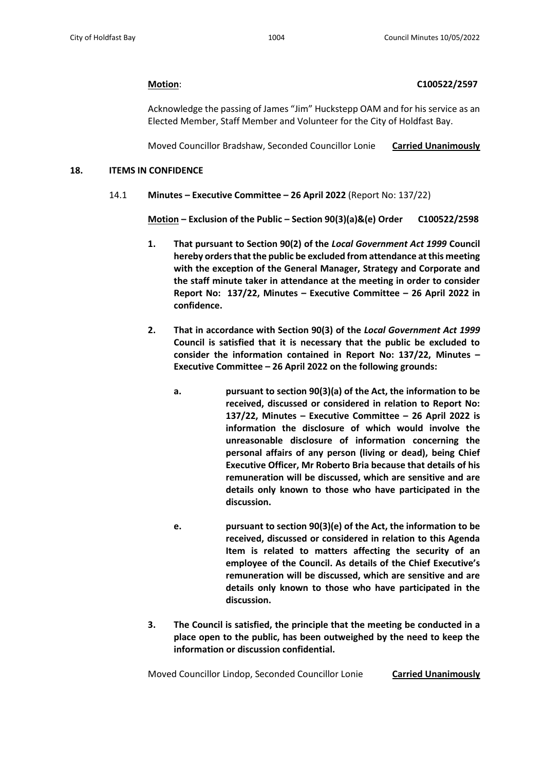## **Motion**: **C100522/2597**

Acknowledge the passing of James "Jim" Huckstepp OAM and for his service as an Elected Member, Staff Member and Volunteer for the City of Holdfast Bay.

Moved Councillor Bradshaw, Seconded Councillor Lonie **Carried Unanimously**

## **18. ITEMS IN CONFIDENCE**

14.1 **Minutes – Executive Committee – 26 April 2022** (Report No: 137/22)

**Motion – Exclusion of the Public – Section 90(3)(a)&(e) Order C100522/2598**

- **1. That pursuant to Section 90(2) of the** *Local Government Act 1999* **Council hereby orders that the public be excluded from attendance at this meeting with the exception of the General Manager, Strategy and Corporate and the staff minute taker in attendance at the meeting in order to consider Report No: 137/22, Minutes – Executive Committee – 26 April 2022 in confidence.**
- **2. That in accordance with Section 90(3) of the** *Local Government Act 1999* **Council is satisfied that it is necessary that the public be excluded to consider the information contained in Report No: 137/22, Minutes – Executive Committee – 26 April 2022 on the following grounds:**
	- **a. pursuant to section 90(3)(a) of the Act, the information to be received, discussed or considered in relation to Report No: 137/22, Minutes – Executive Committee – 26 April 2022 is information the disclosure of which would involve the unreasonable disclosure of information concerning the personal affairs of any person (living or dead), being Chief Executive Officer, Mr Roberto Bria because that details of his remuneration will be discussed, which are sensitive and are details only known to those who have participated in the discussion.**
	- **e. pursuant to section 90(3)(e) of the Act, the information to be received, discussed or considered in relation to this Agenda Item is related to matters affecting the security of an employee of the Council. As details of the Chief Executive's remuneration will be discussed, which are sensitive and are details only known to those who have participated in the discussion.**
- **3. The Council is satisfied, the principle that the meeting be conducted in a place open to the public, has been outweighed by the need to keep the information or discussion confidential.**

Moved Councillor Lindop, Seconded Councillor Lonie **Carried Unanimously**